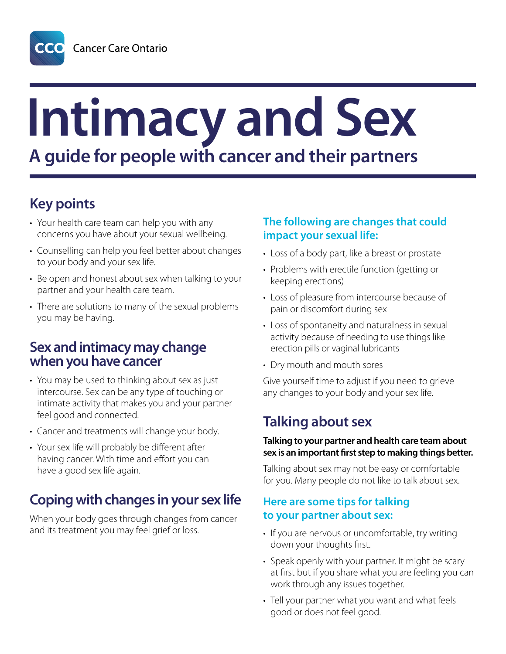# **Intimacy and Sex A guide for people with cancer and their partners**

# **Key points**

- Your health care team can help you with any concerns you have about your sexual wellbeing.
- Counselling can help you feel better about changes to your body and your sex life.
- Be open and honest about sex when talking to your partner and your health care team.
- There are solutions to many of the sexual problems you may be having.

## **Sex and intimacy may change when you have cancer**

- You may be used to thinking about sex as just intercourse. Sex can be any type of touching or intimate activity that makes you and your partner feel good and connected.
- Cancer and treatments will change your body.
- Your sex life will probably be different after having cancer. With time and effort you can have a good sex life again.

# **Coping with changes in your sex life**

When your body goes through changes from cancer and its treatment you may feel grief or loss.

#### **The following are changes that could impact your sexual life:**

- Loss of a body part, like a breast or prostate
- Problems with erectile function (getting or keeping erections)
- Loss of pleasure from intercourse because of pain or discomfort during sex
- Loss of spontaneity and naturalness in sexual activity because of needing to use things like erection pills or vaginal lubricants
- Dry mouth and mouth sores

Give yourself time to adjust if you need to grieve any changes to your body and your sex life.

# **Talking about sex**

#### **Talking to your partner and health care team about sex is an important first step to making things better.**

Talking about sex may not be easy or comfortable for you. Many people do not like to talk about sex.

#### **Here are some tips for talking to your partner about sex:**

- If you are nervous or uncomfortable, try writing down your thoughts first.
- Speak openly with your partner. It might be scary at first but if you share what you are feeling you can work through any issues together.
- Tell your partner what you want and what feels good or does not feel good.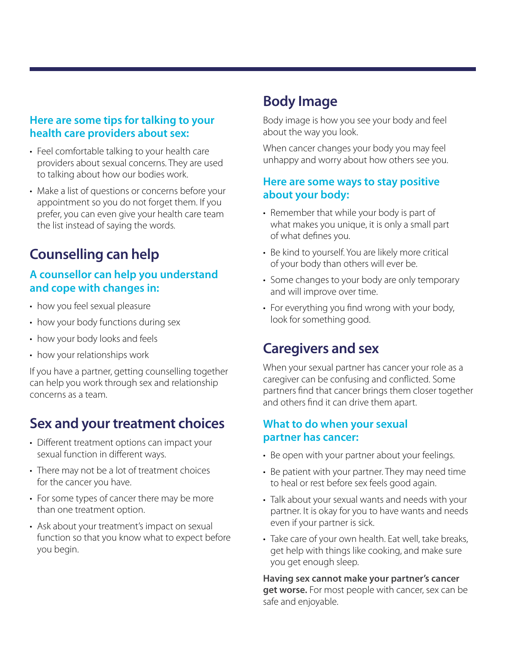#### **Here are some tips for talking to your health care providers about sex:**

- Feel comfortable talking to your health care providers about sexual concerns. They are used to talking about how our bodies work.
- Make a list of questions or concerns before your appointment so you do not forget them. If you prefer, you can even give your health care team the list instead of saying the words.

# **Counselling can help**

#### **A counsellor can help you understand and cope with changes in:**

- how you feel sexual pleasure
- how your body functions during sex
- how your body looks and feels
- how your relationships work

If you have a partner, getting counselling together can help you work through sex and relationship concerns as a team.

## **Sex and your treatment choices**

- Different treatment options can impact your sexual function in different ways.
- There may not be a lot of treatment choices for the cancer you have.
- For some types of cancer there may be more than one treatment option.
- Ask about your treatment's impact on sexual function so that you know what to expect before you begin.

## **Body Image**

Body image is how you see your body and feel about the way you look.

When cancer changes your body you may feel unhappy and worry about how others see you.

#### **Here are some ways to stay positive about your body:**

- Remember that while your body is part of what makes you unique, it is only a small part of what defines you.
- Be kind to yourself. You are likely more critical of your body than others will ever be.
- Some changes to your body are only temporary and will improve over time.
- For everything you find wrong with your body, look for something good.

## **Caregivers and sex**

When your sexual partner has cancer your role as a caregiver can be confusing and conflicted. Some partners find that cancer brings them closer together and others find it can drive them apart.

#### **What to do when your sexual partner has cancer:**

- Be open with your partner about your feelings.
- Be patient with your partner. They may need time to heal or rest before sex feels good again.
- Talk about your sexual wants and needs with your partner. It is okay for you to have wants and needs even if your partner is sick.
- Take care of your own health. Eat well, take breaks, get help with things like cooking, and make sure you get enough sleep.

**Having sex cannot make your partner's cancer get worse.** For most people with cancer, sex can be safe and enjoyable.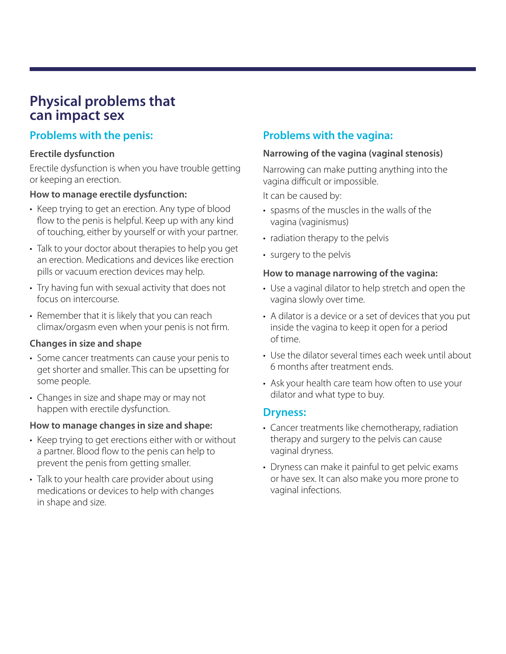## **Physical problems that can impact sex**

#### **Problems with the penis:**

#### **Erectile dysfunction**

Erectile dysfunction is when you have trouble getting or keeping an erection.

#### **How to manage erectile dysfunction:**

- Keep trying to get an erection. Any type of blood flow to the penis is helpful. Keep up with any kind of touching, either by yourself or with your partner.
- Talk to your doctor about therapies to help you get an erection. Medications and devices like erection pills or vacuum erection devices may help.
- Try having fun with sexual activity that does not focus on intercourse.
- Remember that it is likely that you can reach climax/orgasm even when your penis is not firm.

#### **Changes in size and shape**

- Some cancer treatments can cause your penis to get shorter and smaller. This can be upsetting for some people.
- Changes in size and shape may or may not happen with erectile dysfunction.

#### **How to manage changes in size and shape:**

- Keep trying to get erections either with or without a partner. Blood flow to the penis can help to prevent the penis from getting smaller.
- Talk to your health care provider about using medications or devices to help with changes in shape and size.

### **Problems with the vagina:**

#### **Narrowing of the vagina (vaginal stenosis)**

Narrowing can make putting anything into the vagina difficult or impossible.

It can be caused by:

- spasms of the muscles in the walls of the vagina (vaginismus)
- radiation therapy to the pelvis
- surgery to the pelvis

#### **How to manage narrowing of the vagina:**

- Use a vaginal dilator to help stretch and open the vagina slowly over time.
- A dilator is a device or a set of devices that you put inside the vagina to keep it open for a period of time.
- Use the dilator several times each week until about 6 months after treatment ends.
- Ask your health care team how often to use your dilator and what type to buy.

#### **Dryness:**

- Cancer treatments like chemotherapy, radiation therapy and surgery to the pelvis can cause vaginal dryness.
- Dryness can make it painful to get pelvic exams or have sex. It can also make you more prone to vaginal infections.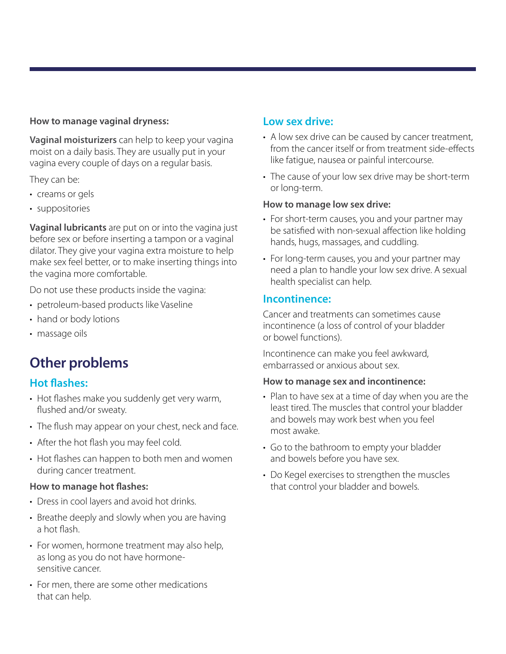#### **How to manage vaginal dryness:**

**Vaginal moisturizers** can help to keep your vagina moist on a daily basis. They are usually put in your vagina every couple of days on a regular basis.

They can be:

- creams or gels
- suppositories

**Vaginal lubricants** are put on or into the vagina just before sex or before inserting a tampon or a vaginal dilator. They give your vagina extra moisture to help make sex feel better, or to make inserting things into the vagina more comfortable.

Do not use these products inside the vagina:

- petroleum-based products like Vaseline
- hand or body lotions
- massage oils

# **Other problems**

#### **Hot flashes:**

- Hot flashes make you suddenly get very warm, flushed and/or sweaty.
- The flush may appear on your chest, neck and face.
- After the hot flash you may feel cold.
- Hot flashes can happen to both men and women during cancer treatment.

#### **How to manage hot flashes:**

- Dress in cool layers and avoid hot drinks.
- Breathe deeply and slowly when you are having a hot flash.
- For women, hormone treatment may also help, as long as you do not have hormonesensitive cancer.
- For men, there are some other medications that can help.

#### **Low sex drive:**

- A low sex drive can be caused by cancer treatment, from the cancer itself or from treatment side-effects like fatigue, nausea or painful intercourse.
- The cause of your low sex drive may be short-term or long-term.

#### **How to manage low sex drive:**

- For short-term causes, you and your partner may be satisfied with non-sexual affection like holding hands, hugs, massages, and cuddling.
- For long-term causes, you and your partner may need a plan to handle your low sex drive. A sexual health specialist can help.

#### **Incontinence:**

Cancer and treatments can sometimes cause incontinence (a loss of control of your bladder or bowel functions).

Incontinence can make you feel awkward, embarrassed or anxious about sex.

#### **How to manage sex and incontinence:**

- Plan to have sex at a time of day when you are the least tired. The muscles that control your bladder and bowels may work best when you feel most awake.
- Go to the bathroom to empty your bladder and bowels before you have sex.
- Do Kegel exercises to strengthen the muscles that control your bladder and bowels.